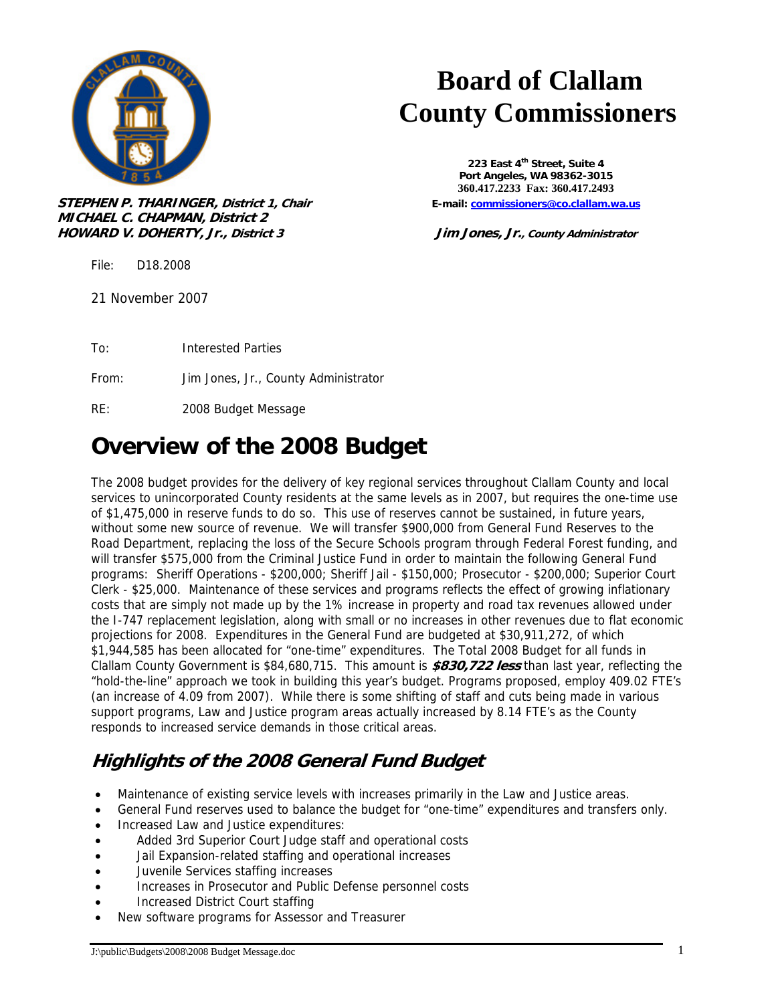

**STEPHEN P. THARINGER, District 1, Chair E-mail: commissioners@co.clallam.wa.us MICHAEL C. CHAPMAN, District 2 HOWARD V. DOHERTY, Jr., District 3 Jim Jones, Jr., County Administrator**

File: D18.2008

21 November 2007

To: Interested Parties

From: Jim Jones, Jr., County Administrator

RE: 2008 Budget Message

### **Overview of the 2008 Budget**

The 2008 budget provides for the delivery of key regional services throughout Clallam County and local services to unincorporated County residents at the same levels as in 2007, but requires the one-time use of \$1,475,000 in reserve funds to do so. This use of reserves cannot be sustained, in future years, without some new source of revenue. We will transfer \$900,000 from General Fund Reserves to the Road Department, replacing the loss of the Secure Schools program through Federal Forest funding, and will transfer \$575,000 from the Criminal Justice Fund in order to maintain the following General Fund programs: Sheriff Operations - \$200,000; Sheriff Jail - \$150,000; Prosecutor - \$200,000; Superior Court Clerk - \$25,000. Maintenance of these services and programs reflects the effect of growing inflationary costs that are simply not made up by the 1% increase in property and road tax revenues allowed under the I-747 replacement legislation, along with small or no increases in other revenues due to flat economic projections for 2008. Expenditures in the General Fund are budgeted at \$30,911,272, of which \$1,944,585 has been allocated for "one-time" expenditures. The Total 2008 Budget for all funds in Clallam County Government is \$84,680,715. This amount is **\$830,722 less** than last year, reflecting the "hold-the-line" approach we took in building this year's budget. Programs proposed, employ 409.02 FTE's (an increase of 4.09 from 2007). While there is some shifting of staff and cuts being made in various support programs, Law and Justice program areas actually increased by 8.14 FTE's as the County responds to increased service demands in those critical areas.

#### **Highlights of the 2008 General Fund Budget**

- Maintenance of existing service levels with increases primarily in the Law and Justice areas.
- General Fund reserves used to balance the budget for "one-time" expenditures and transfers only.
- Increased Law and Justice expenditures:
- Added 3rd Superior Court Judge staff and operational costs
- Jail Expansion-related staffing and operational increases
- Juvenile Services staffing increases
- Increases in Prosecutor and Public Defense personnel costs
- Increased District Court staffing
- New software programs for Assessor and Treasurer

# **Board of Clallam County Commissioners**

**223 East 4th Street, Suite 4 Port Angeles, WA 98362-3015 360.417.2233 Fax: 360.417.2493**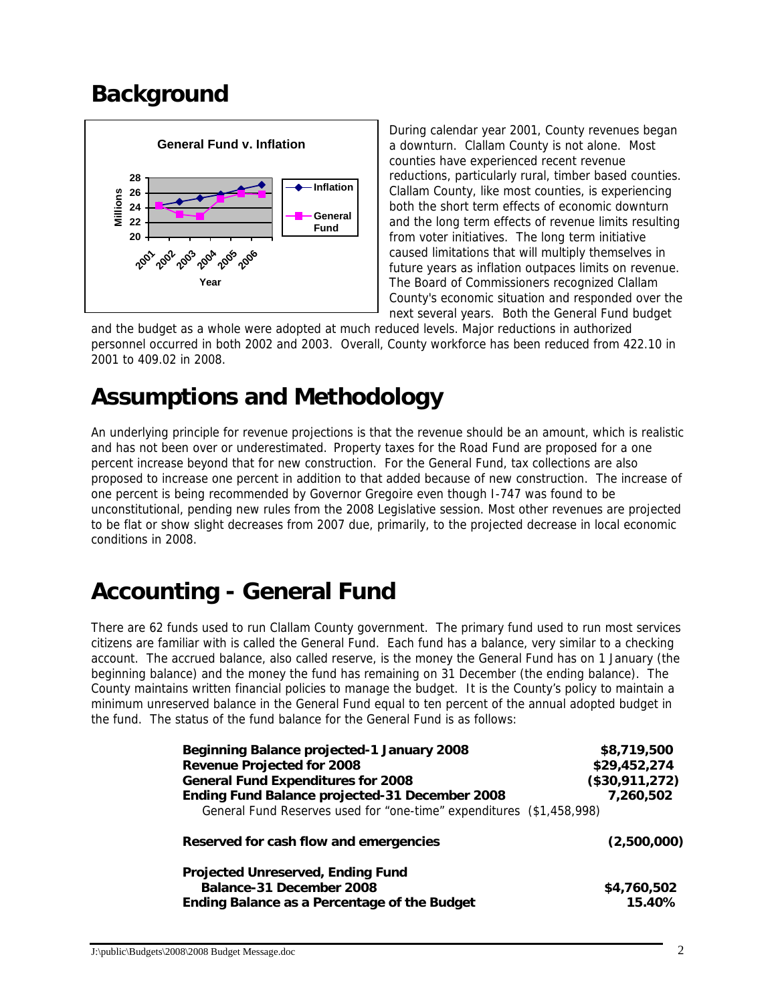#### **Background**



During calendar year 2001, County revenues began a downturn. Clallam County is not alone. Most counties have experienced recent revenue reductions, particularly rural, timber based counties. Clallam County, like most counties, is experiencing both the short term effects of economic downturn and the long term effects of revenue limits resulting from voter initiatives. The long term initiative caused limitations that will multiply themselves in future years as inflation outpaces limits on revenue. The Board of Commissioners recognized Clallam County's economic situation and responded over the next several years. Both the General Fund budget

and the budget as a whole were adopted at much reduced levels. Major reductions in authorized personnel occurred in both 2002 and 2003. Overall, County workforce has been reduced from 422.10 in 2001 to 409.02 in 2008.

#### **Assumptions and Methodology**

An underlying principle for revenue projections is that the revenue should be an amount, which is realistic and has not been over or underestimated. Property taxes for the Road Fund are proposed for a one percent increase beyond that for new construction. For the General Fund, tax collections are also proposed to increase one percent in addition to that added because of new construction. The increase of one percent is being recommended by Governor Gregoire even though I-747 was found to be unconstitutional, pending new rules from the 2008 Legislative session. Most other revenues are projected to be flat or show slight decreases from 2007 due, primarily, to the projected decrease in local economic conditions in 2008.

#### **Accounting - General Fund**

There are 62 funds used to run Clallam County government. The primary fund used to run most services citizens are familiar with is called the General Fund. Each fund has a balance, very similar to a checking account. The accrued balance, also called reserve, is the money the General Fund has on 1 January (the beginning balance) and the money the fund has remaining on 31 December (the ending balance). The County maintains written financial policies to manage the budget. It is the County's policy to maintain a minimum unreserved balance in the General Fund equal to ten percent of the annual adopted budget in the fund. The status of the fund balance for the General Fund is as follows:

| <b>Beginning Balance projected-1 January 2008</b>                    | \$8,719,500    |
|----------------------------------------------------------------------|----------------|
| <b>Revenue Projected for 2008</b>                                    | \$29,452,274   |
| <b>General Fund Expenditures for 2008</b>                            | (\$30,911,272) |
| Ending Fund Balance projected-31 December 2008                       | 7,260,502      |
| General Fund Reserves used for "one-time" expenditures (\$1,458,998) |                |
| Reserved for cash flow and emergencies                               | (2,500,000)    |
| <b>Projected Unreserved, Ending Fund</b>                             |                |
| Balance-31 December 2008                                             | \$4,760,502    |
| Ending Balance as a Percentage of the Budget                         | 15.40%         |